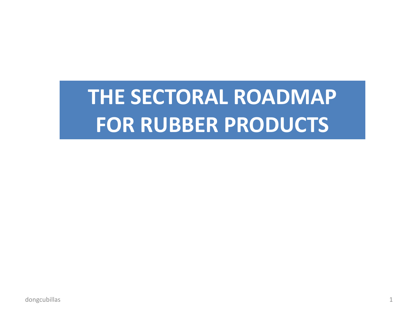# **THE SECTORAL ROADMAP FOR RUBBER PRODUCTS**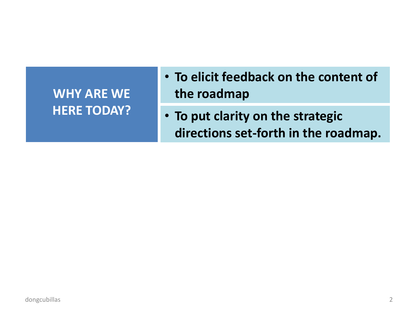# **WHY ARE WE HERE TODAY?**

- **To elicit feedback on the content of the roadmap**
- **To put clarity on the strategic directions set-forth in the roadmap.**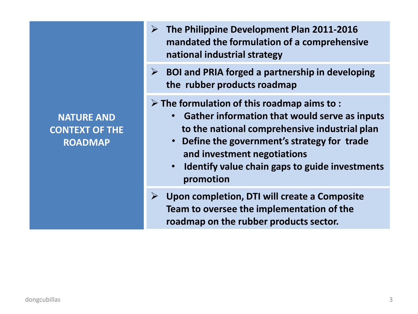**NATURE AND CONTEXT OF THE ROADMAP**

- **The Philippine Development Plan 2011-2016 mandated the formulation of a comprehensive national industrial strategy**
- **BOI and PRIA forged a partnership in developing the rubber products roadmap**
- **The formulation of this roadmap aims to :**
	- **Gather information that would serve as inputs to the national comprehensive industrial plan**
	- **Define the government's strategy for trade and investment negotiations**
	- **Identify value chain gaps to guide investments promotion**
- **Upon completion, DTI will create a Composite Team to oversee the implementation of the roadmap on the rubber products sector.**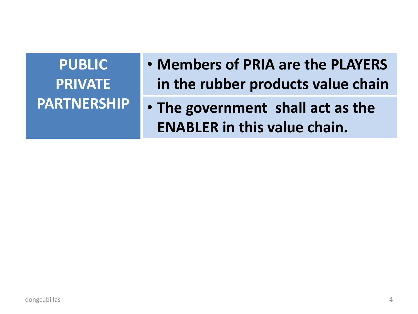**PUBLIC PRIVATE** 

- **Members of PRIA are the PLAYERS in the rubber products value chain**
- **PARTNERSHIP The government shall act as the ENABLER in this value chain.**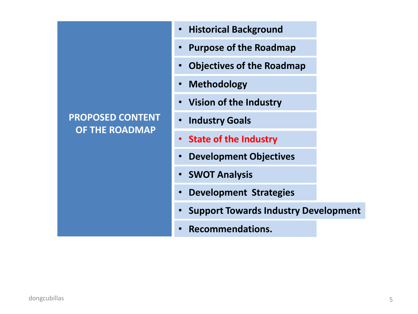# **PROPOSED CONTENT OF THE ROADMAP**

- **Historical Background**
- **Purpose of the Roadmap**
- **Objectives of the Roadmap**
- **Methodology**
- **Vision of the Industry**
- **Industry Goals**
- **State of the Industry State of the Industry**
- **Development Objectives**
- **SWOT Analysis**
- **Development Strategies**
- **Support Towards Industry Development**
- **Recommendations.**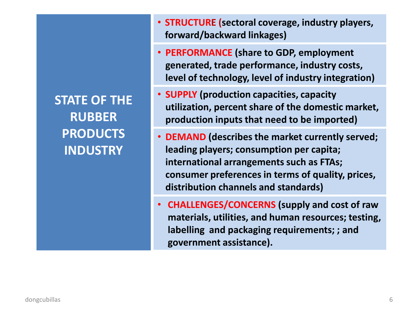**STATE OF THE RUBBER PRODUCTS INDUSTRY**

- **STRUCTURE (sectoral coverage, industry players, forward/backward linkages)**
- **PERFORMANCE (share to GDP, employment generated, trade performance, industry costs, level of technology, level of industry integration)**
- **SUPPLY (production capacities, capacity utilization, percent share of the domestic market, production inputs that need to be imported)**
- **DEMAND (describes the market currently served; leading players; consumption per capita; international arrangements such as FTAs; consumer preferences in terms of quality, prices, distribution channels and standards)**
- **CHALLENGES/CONCERNS (supply and cost of raw materials, utilities, and human resources; testing, labelling and packaging requirements; ; and government assistance).**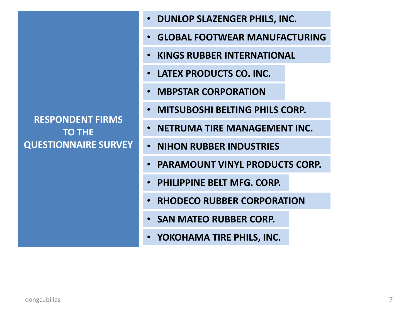**RESPONDENT FIRMS TO THE QUESTIONNAIRE SURVEY**

- **DUNLOP SLAZENGER PHILS, INC.**
- **GLOBAL FOOTWEAR MANUFACTURING**
- **KINGS RUBBER INTERNATIONAL**
- **LATEX PRODUCTS CO. INC.**
- **MBPSTAR CORPORATION**
- **MITSUBOSHI BELTING PHILS CORP.**
- **NETRUMA TIRE MANAGEMENT INC.**
- **NIHON RUBBER INDUSTRIES**
- **PARAMOUNT VINYL PRODUCTS CORP.**
- **PHILIPPINE BELT MFG. CORP.**
- **RHODECO RUBBER CORPORATION**
- **SAN MATEO RUBBER CORP.**
- **YOKOHAMA TIRE PHILS, INC.**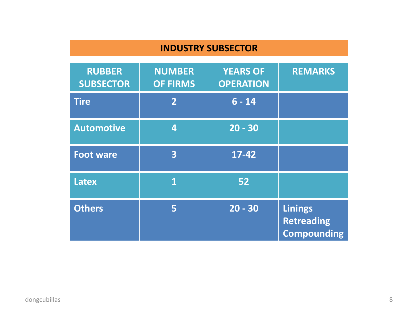#### **INDUSTRY SUBSECTOR**

| <b>RUBBER</b><br><b>SUBSECTOR</b> | <b>NUMBER</b><br><b>OF FIRMS</b> | <b>YEARS OF</b><br><b>OPERATION</b> | <b>REMARKS</b>                                            |
|-----------------------------------|----------------------------------|-------------------------------------|-----------------------------------------------------------|
| <b>Tire</b>                       | $\overline{2}$                   | $6 - 14$                            |                                                           |
| <b>Automotive</b>                 | 4                                | $20 - 30$                           |                                                           |
| <b>Foot ware</b>                  | 3                                | $17 - 42$                           |                                                           |
| <b>Latex</b>                      | $\mathbf{1}$                     | 52                                  |                                                           |
| <b>Others</b>                     | 5                                | $20 - 30$                           | <b>Linings</b><br><b>Retreading</b><br><b>Compounding</b> |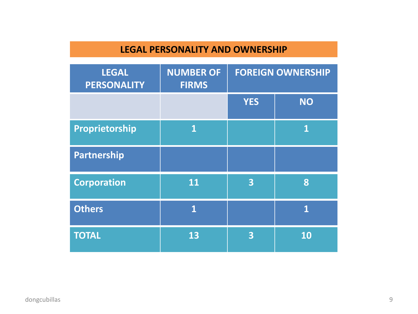# **LEGAL PERSONALITY AND OWNERSHIP**

| <b>LEGAL</b><br><b>PERSONALITY</b> | <b>NUMBER OF</b><br><b>FIRMS</b> | <b>FOREIGN OWNERSHIP</b> |             |
|------------------------------------|----------------------------------|--------------------------|-------------|
|                                    |                                  | <b>YES</b>               | <b>NO</b>   |
| Proprietorship                     | $\mathbf{1}$                     |                          | $\mathbf 1$ |
| Partnership                        |                                  |                          |             |
| <b>Corporation</b>                 | 11                               | $\overline{\mathbf{3}}$  | 8           |
| <b>Others</b>                      | $\overline{\mathbf{1}}$          |                          | $\mathbf 1$ |
| <b>TOTAL</b>                       | 13                               | $\overline{\mathbf{3}}$  | 10          |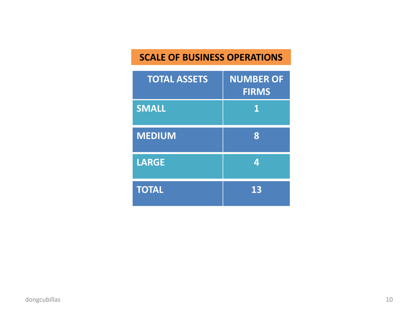### **SCALE OF BUSINESS OPERATIONS**

| <b>TOTAL ASSETS</b> | <b>NUMBER OF</b><br><b>FIRMS</b> |
|---------------------|----------------------------------|
| <b>SMALL</b>        | 1                                |
| <b>MEDIUM</b>       | 8                                |
| <b>LARGE</b>        | 4                                |
| <b>TOTAL</b>        | 13                               |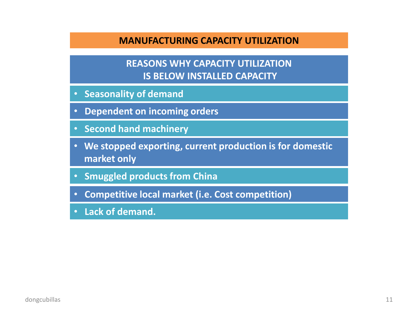#### **MANUFACTURING CAPACITY UTILIZATION**

#### **REASONS WHY CAPACITY UTILIZATION IS BELOW INSTALLED CAPACITY**

- **Seasonality of demand**
- **Dependent on incoming orders**
- **Second hand machinery**
- **We stopped exporting, current production is for domestic market only**
- **Smuggled products from China**
- **Competitive local market (i.e. Cost competition)**
- **Lack of demand.**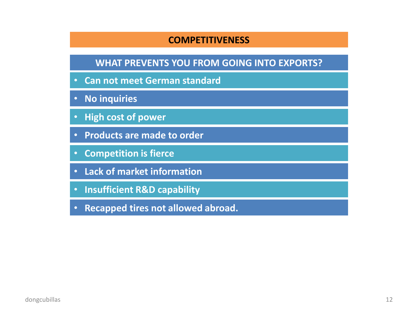#### **COMPETITIVENESS**

#### **WHAT PREVENTS YOU FROM GOING INTO EXPORTS?**

- **Can not meet German standard**
- **No inquiries**
- **High cost of power**
- **Products are made to order**
- **Competition is fierce**
- **Lack of market information**
- **Insufficient R&D capability**
- **Recapped tires not allowed abroad.**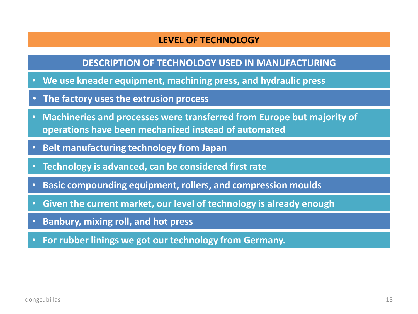#### **LEVEL OF TECHNOLOGY**

#### **DESCRIPTION OF TECHNOLOGY USED IN MANUFACTURING**

- **We use kneader equipment, machining press, and hydraulic press**
- **The factory uses the extrusion process**
- **Machineries and processes were transferred from Europe but majority of operations have been mechanized instead of automated**
- **Belt manufacturing technology from Japan**
- **Technology is advanced, can be considered first rate**
- **Basic compounding equipment, rollers, and compression moulds**
- **Given the current market, our level of technology is already enough**
- **Banbury, mixing roll, and hot press**
- **For rubber linings we got our technology from Germany.**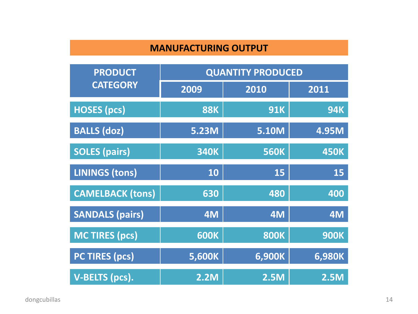#### **MANUFACTURING OUTPUT**

| <b>PRODUCT</b>          | <b>QUANTITY PRODUCED</b> |              |             |
|-------------------------|--------------------------|--------------|-------------|
| <b>CATEGORY</b>         | 2009                     | 2010         | 2011        |
| <b>HOSES</b> (pcs)      | <b>88K</b>               | <b>91K</b>   | <b>94K</b>  |
| <b>BALLS (doz)</b>      | <b>5.23M</b>             | <b>5.10M</b> | 4.95M       |
| <b>SOLES (pairs)</b>    | <b>340K</b>              | <b>560K</b>  | <b>450K</b> |
| <b>LININGS (tons)</b>   | 10                       | 15           | 15          |
| <b>CAMELBACK (tons)</b> | 630                      | 480          | 400         |
| <b>SANDALS (pairs)</b>  | 4M                       | 4M           | 4M          |
| <b>MC TIRES (pcs)</b>   | <b>600K</b>              | <b>800K</b>  | <b>900K</b> |
| <b>PC TIRES (pcs)</b>   | 5,600K                   | 6,900K       | 6,980K      |
| <b>V-BELTS (pcs).</b>   | <b>2.2M</b>              | <b>2.5M</b>  | 2.5M        |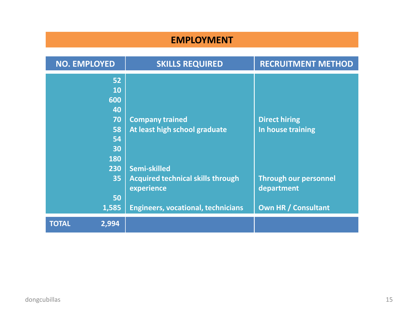#### **EMPLOYMENT**

| <b>NO. EMPLOYED</b>   | <b>SKILLS REQUIRED</b>                                 | <b>RECRUITMENT METHOD</b>                  |
|-----------------------|--------------------------------------------------------|--------------------------------------------|
| 52                    |                                                        |                                            |
| 10                    |                                                        |                                            |
| 600                   |                                                        |                                            |
| 40                    |                                                        |                                            |
| 70                    | <b>Company trained</b>                                 | <b>Direct hiring</b>                       |
| 58                    | At least high school graduate                          | In house training                          |
| 54                    |                                                        |                                            |
| 30                    |                                                        |                                            |
| <b>180</b>            |                                                        |                                            |
| 230                   | Semi-skilled                                           |                                            |
| 35                    | <b>Acquired technical skills through</b><br>experience | <b>Through our personnel</b><br>department |
| 50                    |                                                        |                                            |
| 1,585                 | <b>Engineers, vocational, technicians</b>              | <b>Own HR / Consultant</b>                 |
| <b>TOTAL</b><br>2,994 |                                                        |                                            |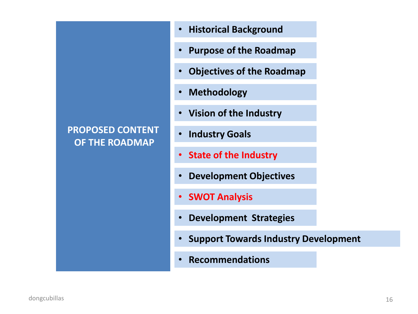# **PROPOSED CONTENT OF THE ROADMAP**

- **Historical Background**
- **Purpose of the Roadmap**
- **Objectives of the Roadmap**
- **Methodology**
- **Vision of the Industry**
- **Industry Goals**
- **State of the Industry**
- **Development Objectives**
- **SWOT Analysis**
- **Development Strategies**
- **Support Towards Industry Development**
- **Recommendations**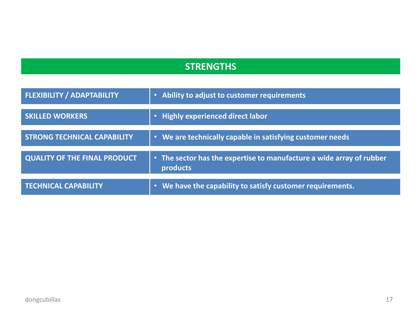#### **STRENGTHS**

| <b>FLEXIBILITY / ADAPTABILITY</b>   | • Ability to adjust to customer requirements                                     |
|-------------------------------------|----------------------------------------------------------------------------------|
| <b>SKILLED WORKERS</b>              | • Highly experienced direct labor                                                |
| <b>STRONG TECHNICAL CAPABILITY</b>  | • We are technically capable in satisfying customer needs                        |
| <b>QUALITY OF THE FINAL PRODUCT</b> | • The sector has the expertise to manufacture a wide array of rubber<br>products |
| <b>TECHNICAL CAPABILITY</b>         | • We have the capability to satisfy customer requirements.                       |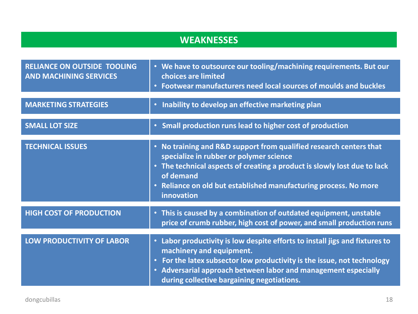# **WEAKNESSES**

| <b>RELIANCE ON OUTSIDE TOOLING</b><br><b>AND MACHINING SERVICES</b> | • We have to outsource our tooling/machining requirements. But our<br>choices are limited<br>Footwear manufacturers need local sources of moulds and buckles<br>$\bullet$                                                                                                                                                |
|---------------------------------------------------------------------|--------------------------------------------------------------------------------------------------------------------------------------------------------------------------------------------------------------------------------------------------------------------------------------------------------------------------|
| <b>MARKETING STRATEGIES</b>                                         | Inability to develop an effective marketing plan<br>$\bullet$                                                                                                                                                                                                                                                            |
| <b>SMALL LOT SIZE</b>                                               | • Small production runs lead to higher cost of production                                                                                                                                                                                                                                                                |
| <b>TECHNICAL ISSUES</b>                                             | • No training and R&D support from qualified research centers that<br>specialize in rubber or polymer science<br>• The technical aspects of creating a product is slowly lost due to lack<br>of demand<br>Reliance on old but established manufacturing process. No more<br>$\bullet$<br>innovation                      |
| <b>HIGH COST OF PRODUCTION</b>                                      | • This is caused by a combination of outdated equipment, unstable<br>price of crumb rubber, high cost of power, and small production runs                                                                                                                                                                                |
| <b>LOW PRODUCTIVITY OF LABOR</b>                                    | • Labor productivity is low despite efforts to install jigs and fixtures to<br>machinery and equipment.<br>For the latex subsector low productivity is the issue, not technology<br>$\bullet$<br>Adversarial approach between labor and management especially<br>$\bullet$<br>during collective bargaining negotiations. |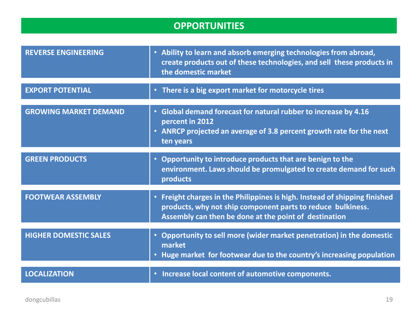#### **OPPORTUNITIES**

| <b>REVERSE ENGINEERING</b>   | • Ability to learn and absorb emerging technologies from abroad,<br>create products out of these technologies, and sell these products in<br>the domestic market                                   |
|------------------------------|----------------------------------------------------------------------------------------------------------------------------------------------------------------------------------------------------|
| <b>EXPORT POTENTIAL</b>      | • There is a big export market for motorcycle tires                                                                                                                                                |
| <b>GROWING MARKET DEMAND</b> | Global demand forecast for natural rubber to increase by 4.16<br>$\bullet$ .<br>percent in 2012<br>• ANRCP projected an average of 3.8 percent growth rate for the next<br>ten years               |
| <b>GREEN PRODUCTS</b>        | • Opportunity to introduce products that are benign to the<br>environment. Laws should be promulgated to create demand for such<br>products                                                        |
| <b>FOOTWEAR ASSEMBLY</b>     | • Freight charges in the Philippines is high. Instead of shipping finished<br>products, why not ship component parts to reduce bulkiness.<br>Assembly can then be done at the point of destination |
| <b>HIGHER DOMESTIC SALES</b> | Opportunity to sell more (wider market penetration) in the domestic<br>$\bullet$<br>market<br>Huge market for footwear due to the country's increasing population<br>$\bullet$                     |
| <b>LOCALIZATION</b>          | · Increase local content of automotive components.                                                                                                                                                 |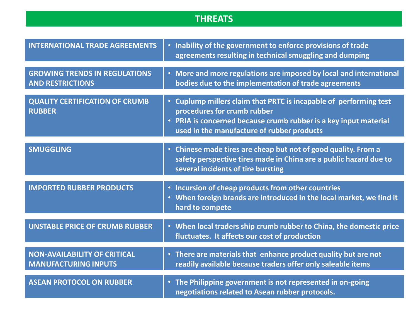#### **THREATS**

| <b>INTERNATIONAL TRADE AGREEMENTS</b>                              | • Inability of the government to enforce provisions of trade<br>agreements resulting in technical smuggling and dumping                                                                                            |
|--------------------------------------------------------------------|--------------------------------------------------------------------------------------------------------------------------------------------------------------------------------------------------------------------|
| <b>GROWING TRENDS IN REGULATIONS</b><br><b>AND RESTRICTIONS</b>    | • More and more regulations are imposed by local and international<br>bodies due to the implementation of trade agreements                                                                                         |
| <b>QUALITY CERTIFICATION OF CRUMB</b><br><b>RUBBER</b>             | • Cuplump millers claim that PRTC is incapable of performing test<br>procedures for crumb rubber<br>• PRIA is concerned because crumb rubber is a key input material<br>used in the manufacture of rubber products |
| <b>SMUGGLING</b>                                                   | • Chinese made tires are cheap but not of good quality. From a<br>safety perspective tires made in China are a public hazard due to<br>several incidents of tire bursting                                          |
| <b>IMPORTED RUBBER PRODUCTS</b>                                    | • Incursion of cheap products from other countries<br>• When foreign brands are introduced in the local market, we find it<br>hard to compete                                                                      |
| <b>UNSTABLE PRICE OF CRUMB RUBBER</b>                              | • When local traders ship crumb rubber to China, the domestic price<br>fluctuates. It affects our cost of production                                                                                               |
| <b>NON-AVAILABILITY OF CRITICAL</b><br><b>MANUFACTURING INPUTS</b> | • There are materials that enhance product quality but are not<br>readily available because traders offer only saleable items                                                                                      |
| <b>ASEAN PROTOCOL ON RUBBER</b>                                    | • The Philippine government is not represented in on-going<br>negotiations related to Asean rubber protocols.                                                                                                      |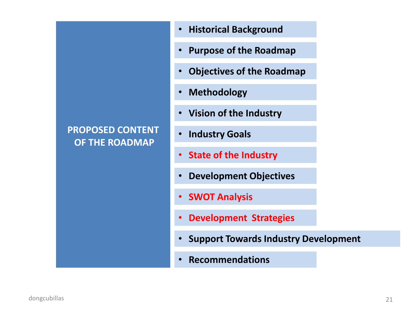# **PROPOSED CONTENT OF THE ROADMAP**

- **Historical Background**
- **Purpose of the Roadmap**
- **Objectives of the Roadmap**
- **Methodology**
- **Vision of the Industry**
- **Industry Goals**
- **State of the Industry**
- **Development Objectives**
- **SWOT Analysis**
- **Development Strategies**
- **Support Towards Industry Development**
- **Recommendations**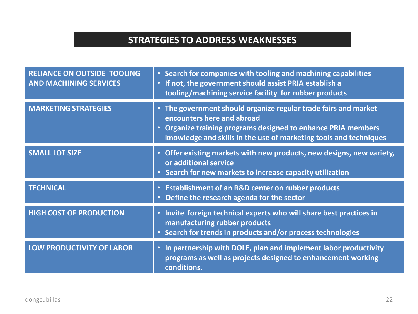# **STRATEGIES TO ADDRESS WEAKNESSES**

| <b>RELIANCE ON OUTSIDE TOOLING</b><br><b>AND MACHINING SERVICES</b> | Search for companies with tooling and machining capabilities<br>$\bullet$<br>If not, the government should assist PRIA establish a<br>$\bullet$<br>tooling/machining service facility for rubber products                         |
|---------------------------------------------------------------------|-----------------------------------------------------------------------------------------------------------------------------------------------------------------------------------------------------------------------------------|
| <b>MARKETING STRATEGIES</b>                                         | • The government should organize regular trade fairs and market<br>encounters here and abroad<br>Organize training programs designed to enhance PRIA members<br>knowledge and skills in the use of marketing tools and techniques |
| <b>SMALL LOT SIZE</b>                                               | Offer existing markets with new products, new designs, new variety,<br>$\bullet$<br>or additional service<br>Search for new markets to increase capacity utilization<br>$\bullet$                                                 |
| <b>TECHNICAL</b>                                                    | <b>Establishment of an R&amp;D center on rubber products</b><br>$\bullet$<br>Define the research agenda for the sector<br>$\bullet$                                                                                               |
| <b>HIGH COST OF PRODUCTION</b>                                      | • Invite foreign technical experts who will share best practices in<br>manufacturing rubber products<br>Search for trends in products and/or process technologies                                                                 |
| <b>LOW PRODUCTIVITY OF LABOR</b>                                    | In partnership with DOLE, plan and implement labor productivity<br>$\bullet$<br>programs as well as projects designed to enhancement working<br>conditions.                                                                       |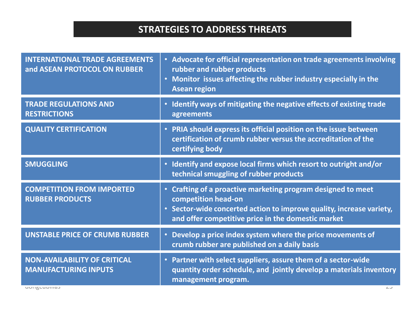### **STRATEGIES TO ADDRESS THREATS**

| <b>INTERNATIONAL TRADE AGREEMENTS</b><br>and ASEAN PROTOCOL ON RUBBER | • Advocate for official representation on trade agreements involving<br>rubber and rubber products<br>• Monitor issues affecting the rubber industry especially in the<br><b>Asean region</b>                   |
|-----------------------------------------------------------------------|-----------------------------------------------------------------------------------------------------------------------------------------------------------------------------------------------------------------|
| <b>TRADE REGULATIONS AND</b><br><b>RESTRICTIONS</b>                   | • Identify ways of mitigating the negative effects of existing trade<br>agreements                                                                                                                              |
| <b>QUALITY CERTIFICATION</b>                                          | • PRIA should express its official position on the issue between<br>certification of crumb rubber versus the accreditation of the<br>certifying body                                                            |
| <b>SMUGGLING</b>                                                      | • Identify and expose local firms which resort to outright and/or<br>technical smuggling of rubber products                                                                                                     |
| <b>COMPETITION FROM IMPORTED</b><br><b>RUBBER PRODUCTS</b>            | • Crafting of a proactive marketing program designed to meet<br>competition head-on<br>Sector-wide concerted action to improve quality, increase variety,<br>and offer competitive price in the domestic market |
| <b>UNSTABLE PRICE OF CRUMB RUBBER</b>                                 | • Develop a price index system where the price movements of<br>crumb rubber are published on a daily basis                                                                                                      |
| <b>NON-AVAILABILITY OF CRITICAL</b><br><b>MANUFACTURING INPUTS</b>    | • Partner with select suppliers, assure them of a sector-wide<br>quantity order schedule, and jointly develop a materials inventory<br>management program.                                                      |
| uunguuumas                                                            | $\sim$                                                                                                                                                                                                          |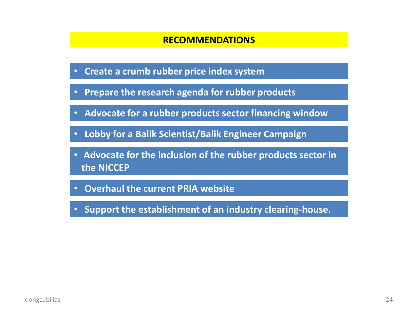#### **RECOMMENDATIONS**

- **Create a crumb rubber price index system**
- **Prepare the research agenda for rubber products**
- **Advocate for a rubber products sector financing window**
- **Lobby for a Balik Scientist/Balik Engineer Campaign**
- **Advocate for the inclusion of the rubber products sector in the NICCEP**
- **Overhaul the current PRIA website**
- **Support the establishment of an industry clearing-house.**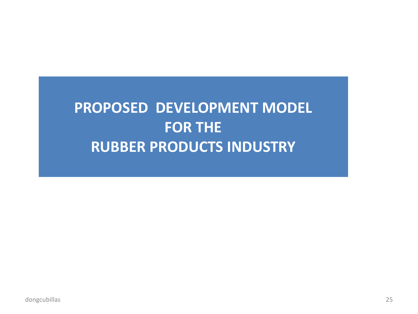# **PROPOSED DEVELOPMENT MODEL FOR THE RUBBER PRODUCTS INDUSTRY**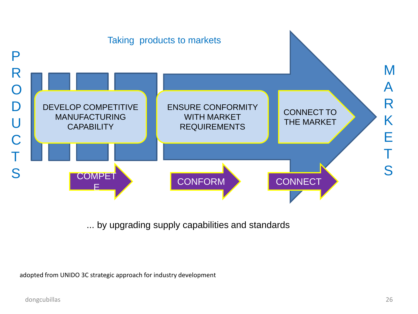

... by upgrading supply capabilities and standards

adopted from UNIDO 3C strategic approach for industry development